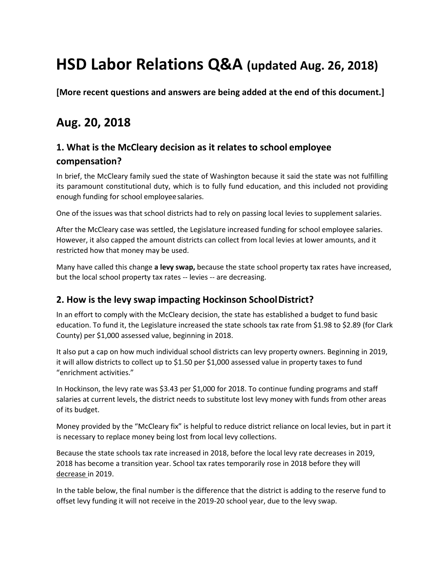# **HSD Labor Relations Q&A (updated Aug. 26, 2018)**

**[More recent questions and answers are being added at the end of this document.]**

# **Aug. 20, 2018**

# **1. What is the McCleary decision as it relates to school employee compensation?**

In brief, the McCleary family sued the state of Washington because it said the state was not fulfilling its paramount constitutional duty, which is to fully fund education, and this included not providing enough funding for school employeesalaries.

One of the issues was that school districts had to rely on passing local levies to supplement salaries.

After the McCleary case was settled, the Legislature increased funding for school employee salaries. However, it also capped the amount districts can collect from local levies at lower amounts, and it restricted how that money may be used.

Many have called this change **a levy swap,** because the state school property tax rates have increased, but the local school property tax rates -- levies -- are decreasing.

#### **2. How is the levy swap impacting Hockinson SchoolDistrict?**

In an effort to comply with the McCleary decision, the state has established a budget to fund basic education. To fund it, the Legislature increased the state schools tax rate from \$1.98 to \$2.89 (for Clark County) per \$1,000 assessed value, beginning in 2018.

It also put a cap on how much individual school districts can levy property owners. Beginning in 2019, it will allow districts to collect up to \$1.50 per \$1,000 assessed value in property taxes to fund "enrichment activities."

In Hockinson, the levy rate was \$3.43 per \$1,000 for 2018. To continue funding programs and staff salaries at current levels, the district needs to substitute lost levy money with funds from other areas of its budget.

Money provided by the "McCleary fix" is helpful to reduce district reliance on local levies, but in part it is necessary to replace money being lost from local levy collections.

Because the state schools tax rate increased in 2018, before the local levy rate decreases in 2019, 2018 has become a transition year. School tax rates temporarily rose in 2018 before they will decrease in 2019.

In the table below, the final number is the difference that the district is adding to the reserve fund to offset levy funding it will not receive in the 2019-20 school year, due to the levy swap.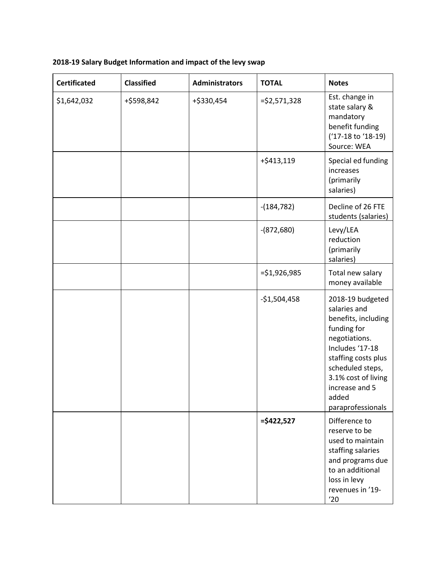| <b>Certificated</b> | <b>Classified</b> | <b>Administrators</b> | <b>TOTAL</b>   | <b>Notes</b>                                                                                                                                                                                                                 |
|---------------------|-------------------|-----------------------|----------------|------------------------------------------------------------------------------------------------------------------------------------------------------------------------------------------------------------------------------|
| \$1,642,032         | +\$598,842        | +\$330,454            | $= $2,571,328$ | Est. change in<br>state salary &<br>mandatory<br>benefit funding<br>('17-18 to '18-19)<br>Source: WEA                                                                                                                        |
|                     |                   |                       | +\$413,119     | Special ed funding<br>increases<br>(primarily<br>salaries)                                                                                                                                                                   |
|                     |                   |                       | $-(184, 782)$  | Decline of 26 FTE<br>students (salaries)                                                                                                                                                                                     |
|                     |                   |                       | $-(872,680)$   | Levy/LEA<br>reduction<br>(primarily<br>salaries)                                                                                                                                                                             |
|                     |                   |                       | $= $1,926,985$ | Total new salary<br>money available                                                                                                                                                                                          |
|                     |                   |                       | $-$1,504,458$  | 2018-19 budgeted<br>salaries and<br>benefits, including<br>funding for<br>negotiations.<br>Includes '17-18<br>staffing costs plus<br>scheduled steps,<br>3.1% cost of living<br>increase and 5<br>added<br>paraprofessionals |
|                     |                   |                       | $=$ \$422,527  | Difference to<br>reserve to be<br>used to maintain<br>staffing salaries<br>and programs due<br>to an additional<br>loss in levy<br>revenues in '19-<br>'20                                                                   |

# **2018-19 Salary Budget Information and impact of the levy swap**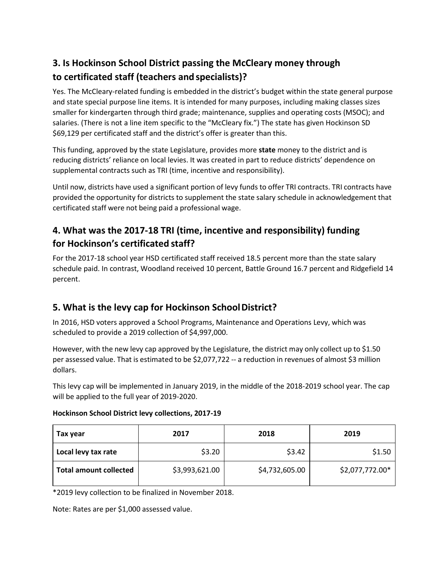# **3. Is Hockinson School District passing the McCleary money through to certificated staff (teachers and specialists)?**

Yes. The McCleary-related funding is embedded in the district's budget within the state general purpose and state special purpose line items. It is intended for many purposes, including making classes sizes smaller for kindergarten through third grade; maintenance, supplies and operating costs (MSOC); and salaries. (There is not a line item specific to the "McCleary fix.") The state has given Hockinson SD \$69,129 per certificated staff and the district's offer is greater than this.

This funding, approved by the state Legislature, provides more **state** money to the district and is reducing districts' reliance on local levies. It was created in part to reduce districts' dependence on supplemental contracts such as TRI (time, incentive and responsibility).

Until now, districts have used a significant portion of levy funds to offer TRI contracts. TRI contracts have provided the opportunity for districts to supplement the state salary schedule in acknowledgement that certificated staff were not being paid a professional wage.

# **4. What was the 2017-18 TRI (time, incentive and responsibility) funding for Hockinson's certificated staff?**

For the 2017-18 school year HSD certificated staff received 18.5 percent more than the state salary schedule paid. In contrast, Woodland received 10 percent, Battle Ground 16.7 percent and Ridgefield 14 percent.

# **5. What is the levy cap for Hockinson SchoolDistrict?**

In 2016, HSD voters approved a School Programs, Maintenance and Operations Levy, which was scheduled to provide a 2019 collection of \$4,997,000.

However, with the new levy cap approved by the Legislature, the district may only collect up to \$1.50 per assessed value. That is estimated to be \$2,077,722 -- a reduction in revenues of almost \$3 million dollars.

This levy cap will be implemented in January 2019, in the middle of the 2018-2019 school year. The cap will be applied to the full year of 2019-2020.

| Tax year                      | 2017           | 2018           | 2019            |
|-------------------------------|----------------|----------------|-----------------|
| Local levy tax rate           | \$3.20         | \$3.42         | \$1.50          |
| <b>Total amount collected</b> | \$3,993,621.00 | \$4,732,605.00 | \$2,077,772.00* |

#### **Hockinson School District levy collections, 2017-19**

\*2019 levy collection to be finalized in November 2018.

Note: Rates are per \$1,000 assessed value.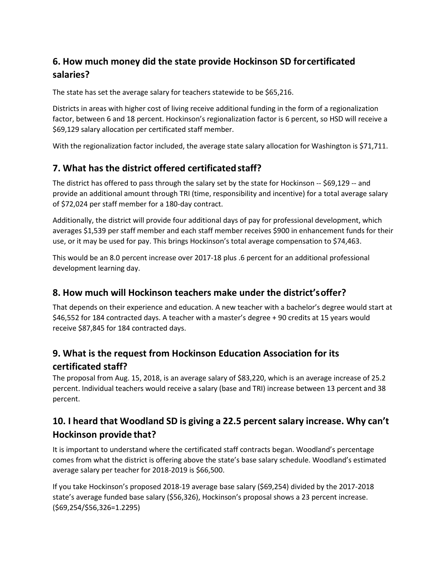# **6. How much money did the state provide Hockinson SD forcertificated salaries?**

The state has set the average salary for teachers statewide to be \$65,216.

Districts in areas with higher cost of living receive additional funding in the form of a regionalization factor, between 6 and 18 percent. Hockinson's regionalization factor is 6 percent, so HSD will receive a \$69,129 salary allocation per certificated staff member.

With the regionalization factor included, the average state salary allocation for Washington is \$71,711.

#### **7. What has the district offered certificatedstaff?**

The district has offered to pass through the salary set by the state for Hockinson -- \$69,129 -- and provide an additional amount through TRI (time, responsibility and incentive) for a total average salary of \$72,024 per staff member for a 180-day contract.

Additionally, the district will provide four additional days of pay for professional development, which averages \$1,539 per staff member and each staff member receives \$900 in enhancement funds for their use, or it may be used for pay. This brings Hockinson's total average compensation to \$74,463.

This would be an 8.0 percent increase over 2017-18 plus .6 percent for an additional professional development learning day.

#### **8. How much will Hockinson teachers make under the district'soffer?**

That depends on their experience and education. A new teacher with a bachelor's degree would start at \$46,552 for 184 contracted days. A teacher with a master's degree + 90 credits at 15 years would receive \$87,845 for 184 contracted days.

# **9. What is the request from Hockinson Education Association for its certificated staff?**

The proposal from Aug. 15, 2018, is an average salary of \$83,220, which is an average increase of 25.2 percent. Individual teachers would receive a salary (base and TRI) increase between 13 percent and 38 percent.

# **10. I heard that Woodland SD is giving a 22.5 percent salary increase. Why can't Hockinson provide that?**

It is important to understand where the certificated staff contracts began. Woodland's percentage comes from what the district is offering above the state's base salary schedule. Woodland's estimated average salary per teacher for 2018-2019 is \$66,500.

If you take Hockinson's proposed 2018-19 average base salary (\$69,254) divided by the 2017-2018 state's average funded base salary (\$56,326), Hockinson's proposal shows a 23 percent increase. (\$69,254/\$56,326=1.2295)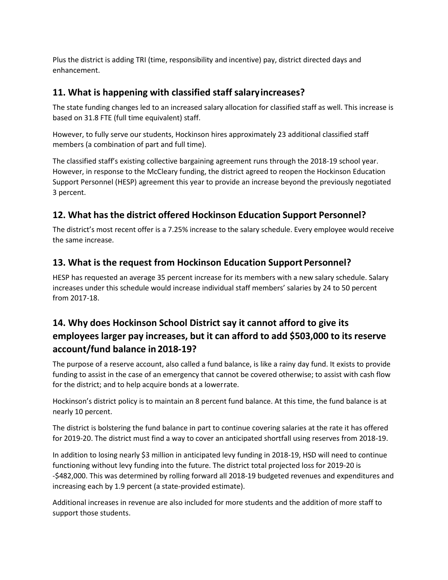Plus the district is adding TRI (time, responsibility and incentive) pay, district directed days and enhancement.

#### **11. What is happening with classified staff salaryincreases?**

The state funding changes led to an increased salary allocation for classified staff as well. This increase is based on 31.8 FTE (full time equivalent) staff.

However, to fully serve our students, Hockinson hires approximately 23 additional classified staff members (a combination of part and full time).

The classified staff's existing collective bargaining agreement runs through the 2018-19 school year. However, in response to the McCleary funding, the district agreed to reopen the Hockinson Education Support Personnel (HESP) agreement this year to provide an increase beyond the previously negotiated 3 percent.

## **12. What hasthe district offered Hockinson Education Support Personnel?**

The district's most recent offer is a 7.25% increase to the salary schedule. Every employee would receive the same increase.

## **13. What is the request from Hockinson Education Support Personnel?**

HESP has requested an average 35 percent increase for its members with a new salary schedule. Salary increases under this schedule would increase individual staff members' salaries by 24 to 50 percent from 2017-18.

# **14. Why does Hockinson School District say it cannot afford to give its employees larger pay increases, but it can afford to add \$503,000 to its reserve account/fund balance in 2018-19?**

The purpose of a reserve account, also called a fund balance, is like a rainy day fund. It exists to provide funding to assist in the case of an emergency that cannot be covered otherwise; to assist with cash flow for the district; and to help acquire bonds at a lowerrate.

Hockinson's district policy is to maintain an 8 percent fund balance. At this time, the fund balance is at nearly 10 percent.

The district is bolstering the fund balance in part to continue covering salaries at the rate it has offered for 2019-20. The district must find a way to cover an anticipated shortfall using reserves from 2018-19.

In addition to losing nearly \$3 million in anticipated levy funding in 2018-19, HSD will need to continue functioning without levy funding into the future. The district total projected loss for 2019-20 is -\$482,000. This was determined by rolling forward all 2018-19 budgeted revenues and expenditures and increasing each by 1.9 percent (a state-provided estimate).

Additional increases in revenue are also included for more students and the addition of more staff to support those students.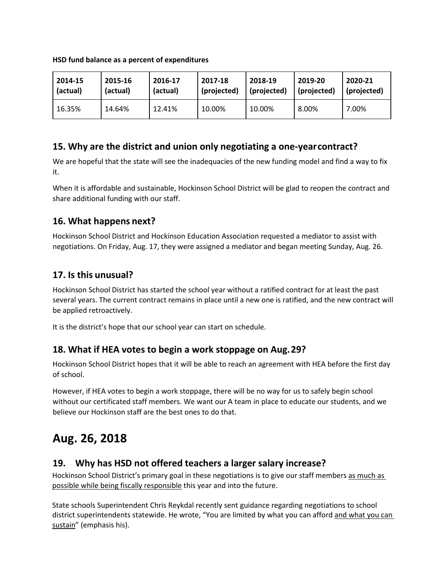| HSD fund balance as a percent of expenditures |
|-----------------------------------------------|
|-----------------------------------------------|

| 2014-15  | 2015-16  | 2016-17  | 2017-18     | 2018-19     | 2019-20     | 2020-21     |
|----------|----------|----------|-------------|-------------|-------------|-------------|
| (actual) | (actual) | (actual) | (projected) | (projected) | (projected) | (projected) |
| 16.35%   | 14.64%   | 12.41%   | 10.00%      | 10.00%      | 8.00%       | 7.00%       |

#### **15. Why are the district and union only negotiating a one-yearcontract?**

We are hopeful that the state will see the inadequacies of the new funding model and find a way to fix it.

When it is affordable and sustainable, Hockinson School District will be glad to reopen the contract and share additional funding with our staff.

#### **16. What happens next?**

Hockinson School District and Hockinson Education Association requested a mediator to assist with negotiations. On Friday, Aug. 17, they were assigned a mediator and began meeting Sunday, Aug. 26.

#### **17. Is this unusual?**

Hockinson School District has started the school year without a ratified contract for at least the past several years. The current contract remains in place until a new one is ratified, and the new contract will be applied retroactively.

It is the district's hope that our school year can start on schedule.

#### **18. What if HEA votes to begin a work stoppage on Aug.29?**

Hockinson School District hopes that it will be able to reach an agreement with HEA before the first day of school.

However, if HEA votes to begin a work stoppage, there will be no way for us to safely begin school without our certificated staff members. We want our A team in place to educate our students, and we believe our Hockinson staff are the best ones to do that.

# **Aug. 26, 2018**

#### **19. Why has HSD not offered teachers a larger salary increase?**

Hockinson School District's primary goal in these negotiations is to give our staff members as much as possible while being fiscally responsible this year and into the future.

State schools Superintendent Chris Reykdal recently sent guidance regarding negotiations to school district superintendents statewide. He wrote, "You are limited by what you can afford and what you can sustain" (emphasis his).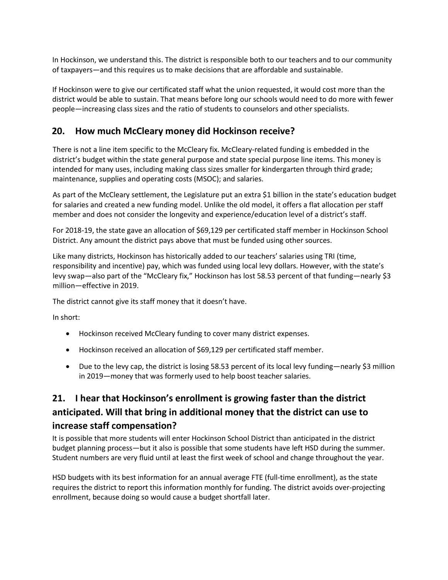In Hockinson, we understand this. The district is responsible both to our teachers and to our community of taxpayers—and this requires us to make decisions that are affordable and sustainable.

If Hockinson were to give our certificated staff what the union requested, it would cost more than the district would be able to sustain. That means before long our schools would need to do more with fewer people—increasing class sizes and the ratio of students to counselors and other specialists.

#### **20. How much McCleary money did Hockinson receive?**

There is not a line item specific to the McCleary fix. McCleary-related funding is embedded in the district's budget within the state general purpose and state special purpose line items. This money is intended for many uses, including making class sizes smaller for kindergarten through third grade; maintenance, supplies and operating costs (MSOC); and salaries.

As part of the McCleary settlement, the Legislature put an extra \$1 billion in the state's education budget for salaries and created a new funding model. Unlike the old model, it offers a flat allocation per staff member and does not consider the longevity and experience/education level of a district's staff.

For 2018-19, the state gave an allocation of \$69,129 per certificated staff member in Hockinson School District. Any amount the district pays above that must be funded using other sources.

Like many districts, Hockinson has historically added to our teachers' salaries using TRI (time, responsibility and incentive) pay, which was funded using local levy dollars. However, with the state's levy swap—also part of the "McCleary fix," Hockinson has lost 58.53 percent of that funding—nearly \$3 million—effective in 2019.

The district cannot give its staff money that it doesn't have.

In short:

- Hockinson received McCleary funding to cover many district expenses.
- Hockinson received an allocation of \$69,129 per certificated staff member.
- Due to the levy cap, the district is losing 58.53 percent of its local levy funding—nearly \$3 million in 2019—money that was formerly used to help boost teacher salaries.

# **21. I hear that Hockinson's enrollment is growing faster than the district anticipated. Will that bring in additional money that the district can use to increase staff compensation?**

It is possible that more students will enter Hockinson School District than anticipated in the district budget planning process—but it also is possible that some students have left HSD during the summer. Student numbers are very fluid until at least the first week of school and change throughout the year.

HSD budgets with its best information for an annual average FTE (full-time enrollment), as the state requires the district to report this information monthly for funding. The district avoids over-projecting enrollment, because doing so would cause a budget shortfall later.